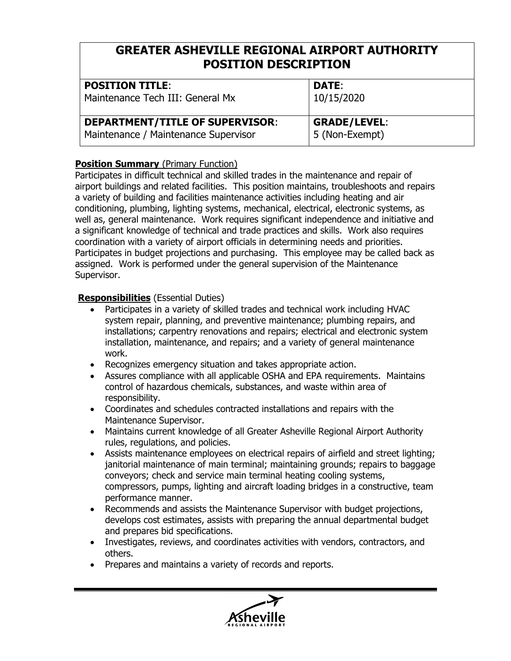| <b>POSITION TITLE:</b>                 | <b>DATE:</b>        |
|----------------------------------------|---------------------|
| Maintenance Tech III: General Mx       | 10/15/2020          |
| <b>DEPARTMENT/TITLE OF SUPERVISOR:</b> | <b>GRADE/LEVEL:</b> |
| Maintenance / Maintenance Supervisor   | 5 (Non-Exempt)      |

### **Position Summary** (Primary Function)

Participates in difficult technical and skilled trades in the maintenance and repair of airport buildings and related facilities. This position maintains, troubleshoots and repairs a variety of building and facilities maintenance activities including heating and air conditioning, plumbing, lighting systems, mechanical, electrical, electronic systems, as well as, general maintenance. Work requires significant independence and initiative and a significant knowledge of technical and trade practices and skills. Work also requires coordination with a variety of airport officials in determining needs and priorities. Participates in budget projections and purchasing. This employee may be called back as assigned. Work is performed under the general supervision of the Maintenance Supervisor.

#### **Responsibilities** (Essential Duties)

- Participates in a variety of skilled trades and technical work including HVAC system repair, planning, and preventive maintenance; plumbing repairs, and installations; carpentry renovations and repairs; electrical and electronic system installation, maintenance, and repairs; and a variety of general maintenance work.
- Recognizes emergency situation and takes appropriate action.
- Assures compliance with all applicable OSHA and EPA requirements. Maintains control of hazardous chemicals, substances, and waste within area of responsibility.
- Coordinates and schedules contracted installations and repairs with the Maintenance Supervisor.
- Maintains current knowledge of all Greater Asheville Regional Airport Authority rules, regulations, and policies.
- Assists maintenance employees on electrical repairs of airfield and street lighting; janitorial maintenance of main terminal; maintaining grounds; repairs to baggage conveyors; check and service main terminal heating cooling systems, compressors, pumps, lighting and aircraft loading bridges in a constructive, team performance manner.
- Recommends and assists the Maintenance Supervisor with budget projections, develops cost estimates, assists with preparing the annual departmental budget and prepares bid specifications.
- Investigates, reviews, and coordinates activities with vendors, contractors, and others.
- Prepares and maintains a variety of records and reports.

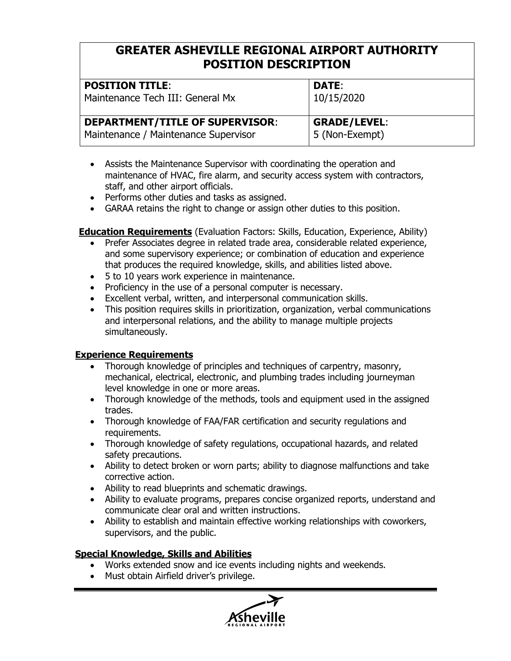| <b>POSITION TITLE:</b>                 | <b>DATE:</b>        |
|----------------------------------------|---------------------|
| Maintenance Tech III: General Mx       | 10/15/2020          |
| <b>DEPARTMENT/TITLE OF SUPERVISOR:</b> | <b>GRADE/LEVEL:</b> |
| Maintenance / Maintenance Supervisor   | 5 (Non-Exempt)      |

- Assists the Maintenance Supervisor with coordinating the operation and maintenance of HVAC, fire alarm, and security access system with contractors, staff, and other airport officials.
- Performs other duties and tasks as assigned.
- GARAA retains the right to change or assign other duties to this position.

**Education Requirements** (Evaluation Factors: Skills, Education, Experience, Ability)

- Prefer Associates degree in related trade area, considerable related experience, and some supervisory experience; or combination of education and experience that produces the required knowledge, skills, and abilities listed above.
- 5 to 10 years work experience in maintenance.
- Proficiency in the use of a personal computer is necessary.
- Excellent verbal, written, and interpersonal communication skills.
- This position requires skills in prioritization, organization, verbal communications and interpersonal relations, and the ability to manage multiple projects simultaneously.

## **Experience Requirements**

- Thorough knowledge of principles and techniques of carpentry, masonry, mechanical, electrical, electronic, and plumbing trades including journeyman level knowledge in one or more areas.
- Thorough knowledge of the methods, tools and equipment used in the assigned trades.
- Thorough knowledge of FAA/FAR certification and security regulations and requirements.
- Thorough knowledge of safety regulations, occupational hazards, and related safety precautions.
- Ability to detect broken or worn parts; ability to diagnose malfunctions and take corrective action.
- Ability to read blueprints and schematic drawings.
- Ability to evaluate programs, prepares concise organized reports, understand and communicate clear oral and written instructions.
- Ability to establish and maintain effective working relationships with coworkers, supervisors, and the public.

## **Special Knowledge, Skills and Abilities**

- Works extended snow and ice events including nights and weekends.
- Must obtain Airfield driver's privilege.

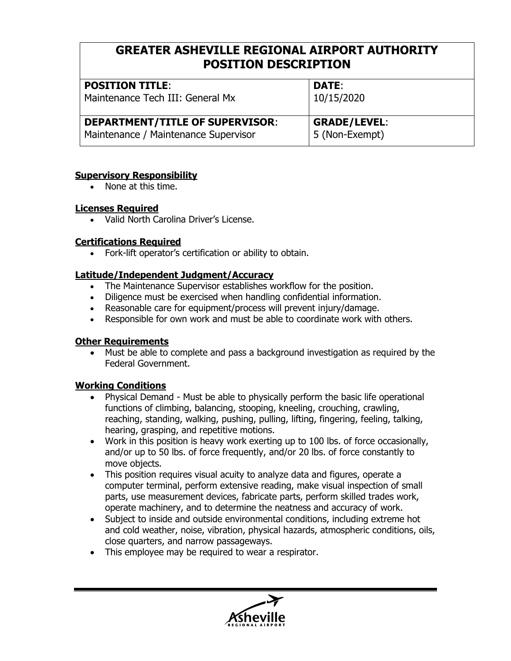| <b>POSITION TITLE:</b>                 | <b>DATE:</b>        |
|----------------------------------------|---------------------|
| Maintenance Tech III: General Mx       | 10/15/2020          |
| <b>DEPARTMENT/TITLE OF SUPERVISOR:</b> | <b>GRADE/LEVEL:</b> |
| Maintenance / Maintenance Supervisor   | 5 (Non-Exempt)      |

#### **Supervisory Responsibility**

• None at this time.

#### **Licenses Required**

• Valid North Carolina Driver's License.

## **Certifications Required**

• Fork-lift operator's certification or ability to obtain.

## **Latitude/Independent Judgment/Accuracy**

- The Maintenance Supervisor establishes workflow for the position.
- Diligence must be exercised when handling confidential information.
- Reasonable care for equipment/process will prevent injury/damage.
- Responsible for own work and must be able to coordinate work with others.

## **Other Requirements**

• Must be able to complete and pass a background investigation as required by the Federal Government.

## **Working Conditions**

- Physical Demand Must be able to physically perform the basic life operational functions of climbing, balancing, stooping, kneeling, crouching, crawling, reaching, standing, walking, pushing, pulling, lifting, fingering, feeling, talking, hearing, grasping, and repetitive motions.
- Work in this position is heavy work exerting up to 100 lbs. of force occasionally, and/or up to 50 lbs. of force frequently, and/or 20 lbs. of force constantly to move objects.
- This position requires visual acuity to analyze data and figures, operate a computer terminal, perform extensive reading, make visual inspection of small parts, use measurement devices, fabricate parts, perform skilled trades work, operate machinery, and to determine the neatness and accuracy of work.
- Subject to inside and outside environmental conditions, including extreme hot and cold weather, noise, vibration, physical hazards, atmospheric conditions, oils, close quarters, and narrow passageways.
- This employee may be required to wear a respirator.